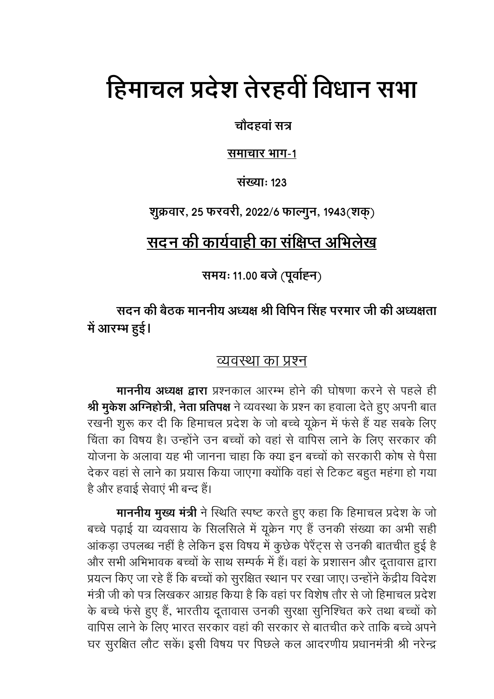# हिमाचल प्रदेश तेरहवीं विधान सभा

चौदहवां सत्र

समाचार भाग-1

संख्याः १२३

शुक्रवार, 25 फरवरी, 2022/6 फाल्गुन, 1943(शक्)

# सदन की कार्यवाही का संक्षिप्त अभिलेख

समयः 11.00 बजे (पूर्वाह्न)

सदन की बैठक माननीय अध्यक्ष श्री विपिन सिंह परमार जी की अध्यक्षता में आरम्भ हुई।

### व्यवस्था का प्रश्न

माननीय अध्यक्ष द्वारा प्रश्नकाल आरम्भ होने की घोषणा करने से पहले ही श्री मुकेश अग्निहोत्री, नेता प्रतिपक्ष ने व्यवस्था के प्रश्न का हवाला देते हुए अपनी बात रखनी शुरू कर दी कि हिमाचल प्रदेश के जो बच्चे यूक्रेन में फंसे हैं यह सबके लिए चिंता का विषय है। उन्होंने उन बच्चों को वहां से वापिस लाने के लिए सरकार की योजना के अलावा यह भी जानना चाहा कि क्या इन बच्चों को सरकारी कोष से पैसा देकर वहां से लाने का प्रयास किया जाएगा क्योंकि वहां से टिकट बहुत महंगा हो गया है और हवाई सेवाएं भी बन्द हैं।

**माननीय मुख्य मंत्री** ने स्थिति स्पष्ट करते हुए कहा कि हिमाचल प्रदेश के जो बच्चे पढ़ाई या व्यवसाय के सिलसिले में यूक्रेन गए हैं उनकी संख्या का अभी सही आंकड़ा उपलब्ध नहीं है लेकिन इस विषय में कुछेक पेरैंट्स से उनकी बातचीत हुई है और सभी अभिभावक बच्चों के साथ सम्पर्क में हैं। वहां के प्रशासन और दूतावास द्वारा प्रयत्न किए जा रहे हैं कि बच्चों को सुरक्षित स्थान पर रखा जाए। उन्होंने केंद्रीय विदेश मंत्री जी को पत्र लिखकर आग्रह किया है कि वहां पर विशेष तौर से जो हिमाचल प्रदेश के बच्चे फंसे हुए हैं, भारतीय दूतावास उनकी सुरक्षा सुनिश्चित करे तथा बच्चों को वापिस लाने के लिए भारत सरकार वहां की सरकार से बातचीत करे ताकि बच्चे अपने घर सुरक्षित लौट सकें। इसी विषय पर पिछले कल आदरणीय प्रधानमंत्री श्री नरेन्द्र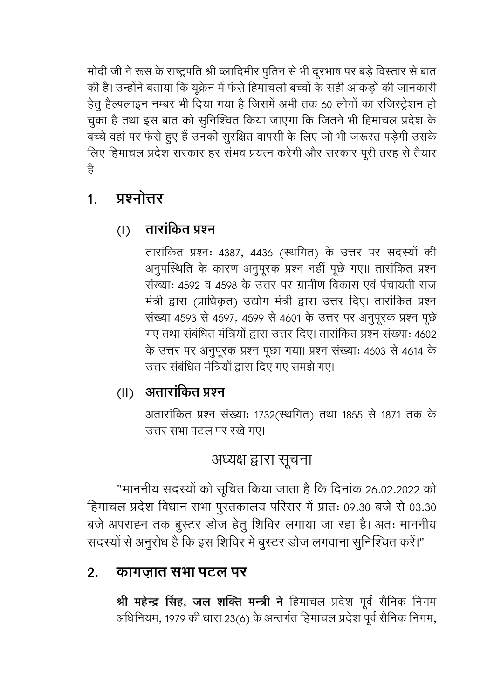मोदी जी ने रूस के राष्ट्रपति श्री व्लादिमीर पुतिन से भी दूरभाष पर बड़े विस्तार से बात की है। उन्होंने बताया कि यूक्रेन में फंसे हिमाचली बच्चों के सही आंकड़ों की जानकारी हेतू हैल्पलाइन नम्बर भी दिया गया है जिसमें अभी तक 60 लोगों का रजिस्ट्रेशन हो चुका है तथा इस बात को सुनिश्चित किया जाएगा कि जितने भी हिमाचल प्रदेश के बच्चे वहां पर फंसे हुए हैं उनकी सुरक्षित वापसी के लिए जो भी जरूरत पड़ेगी उसके लिए हिमाचल प्रदेश सरकार हर संभव प्रयत्न करेगी और सरकार पूरी तरह से तैयार है।

### प्रश्नोत्तर  $1<sub>1</sub>$

तारांकित प्रश्न  $\left( \mathsf{I}\right)$ 

> तारांकित प्रश्नः 4387, 4436 (स्थगित) के उत्तर पर सदस्यों की अनुपस्थिति के कारण अनुपूरक प्रश्न नहीं पूछे गए।। तारांकित प्रश्न संख्याः ४५९२ व ४५९८ के उत्तर पर ग्रामीण विकास एवं पंचायती राज मंत्री द्वारा (प्राधिकृत) उद्योग मंत्री द्वारा उत्तर दिए। तारांकित प्रश्न संख्या 4593 से 4597, 4599 से 4601 के उत्तर पर अनुपूरक प्रश्न पूछे गए तथा संबंधित मंत्रियों द्वारा उत्तर दिए। तारांकित प्रश्न संख्याः 4602 के उत्तर पर अनुपूरक प्रश्न पूछा गया। प्रश्न संख्याः 4603 से 4614 के उत्तर संबंधित मंत्रियों द्वारा दिए गए समझे गए।

## (II) अतारांकित प्रश्न

अतारांकित प्रश्न संख्याः 1732(स्थगित) तथा 1855 से 1871 तक के उत्तर सभा पटल पर रखे गए।

# अध्यक्ष द्वारा सूचना

"माननीय सदस्यों को सूचित किया जाता है कि दिनांक 26.02.2022 को हिमाचल प्रदेश विधान सभा पुस्तकालय परिसर में प्रातः 09.30 बजे से 03.30 बजे अपराह्न तक बुस्टर डोज हेतु शिविर लगाया जा रहा है। अतः माननीय सदस्यों से अनुरोध है कि इस शिविर में बुस्टर डोज लगवाना सुनिश्चित करें।"

#### कागजात सभा पटल पर  $2.$

श्री महेन्द्र सिंह, जल शक्ति मन्त्री ने हिमाचल प्रदेश पूर्व सैनिक निगम अधिनियम, 1979 की धारा 23(6) के अन्तर्गत हिमाचल प्रदेश पूर्व सैनिक निगम,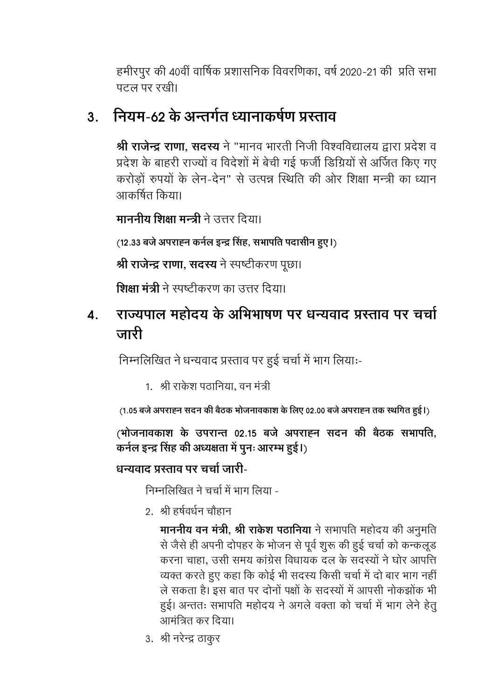हमीरपुर की 40वीं वार्षिक प्रशासनिक विवरणिका, वर्ष 2020-21 की प्रति सभा पटल पर रखी।

### नियम-62 के अन्तर्गत ध्यानाकर्षण प्रस्ताव  $3<sub>1</sub>$

श्री राजेन्द्र राणा, सदस्य ने "मानव भारती निजी विश्वविद्यालय द्वारा प्रदेश व प्रदेश के बाहरी राज्यों व विदेशों में बेची गई फर्जी डिग्रियों से अर्जित किए गए करोड़ों रुपयों के लेन-देन" से उत्पन्न स्थिति की ओर शिक्षा मन्त्री का ध्यान आकर्षित किया।

**माननीय शिक्षा मन्त्री** ने उत्तर दिया।

(12.33 बजे अपराह्न कर्नल इन्द्र सिंह, सभापति पदासीन हुए।)

श्री राजेन्द्र राणा, सदस्य ने स्पष्टीकरण पूछा।

शिक्षा मंत्री ने स्पष्टीकरण का उत्तर दिया।

### राज्यपाल महोदय के अभिभाषण पर धन्यवाद प्रस्ताव पर चर्चा  $\boldsymbol{\Lambda}$ . जारी

निम्नलिखित ने धन्यवाद प्रस्ताव पर हुई चर्चा में भाग लियाः-

1. श्री राकेश पठानिया. वन मंत्री

(1.05 बजे अपराह्न सदन की बैठक भोजनावकाश के लिए 02.00 बजे अपराह्न तक स्थगित हुई।)

(भोजनावकाश के उपरान्त 02.15 बजे अपराह्न सदन की बैठक सभापति, कर्नल इन्द्र सिंह की अध्यक्षता में पुनः आरम्भ हुई।)

### धन्यवाट प्रस्ताव पर चर्चा जारी-

निम्नलिखित ने चर्चा में भाग लिया -

२. श्री हर्षवर्धन चौहान

माननीय वन मंत्री, श्री राकेश पठानिया ने सभापति महोदय की अनुमति से जैसे ही अपनी दोपहर के भोजन से पूर्व शुरू की हुई चर्चा को कन्कलूड करना चाहा. उसी समय कांग्रेस विधायक दल के सदस्यों ने घोर आपत्ति व्यक्त करते हुए कहा कि कोई भी सदस्य किसी चर्चा में दो बार भाग नहीं ले सकता है। इस बात पर दोनों पक्षों के सदस्यों में आपसी नोकझोंक भी हुई। अन्ततः सभापति महोदय ने अगले वक्ता को चर्चा में भाग लेने हेतू .<br>आमंत्रित कर दिया।

3. श्री नरेन्द्र ठाकुर